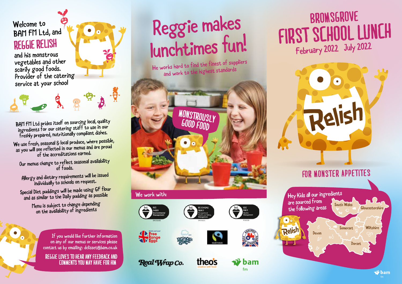### Welcome to BAM FM Ltd, and

and his monstrous vegetables and other scarily good foods. Provider of the catering service at your school

BAM FM Ltd prides itself on sourcing local, quality ingredients for our catering staff to use in our freshly prepared, nutritionally compliant dishes.

BAFF

We use fresh, seasonal & local produce, where possible, as you will see reflected in our menus and are proud of the accreditations earned.

Our menus change to reflect seasonal availability of foods.

Allergy and dietary requirements will be issued individually to schools on request.

Special Diet puddings will be made using GF flour and as similar to the Daily pudding as possible

> Menu is subject to change depending on the availability of ingredients

> > If you would like further information on any of our menus or services please contact us by emailing: dclisset@bam.co.uk

**reggie loves to hear any feedback and comments you may have for him.**

# Welcome to BAM FM Ltd, and **Reggie makes** lunchtimes fun!

He works hard to find the finest of suppliers and work to the highest standards



#### We work with:

















 $\vec{v}$  bam fm

### **first SCHOOL LUNCH** February 2022 – July 2022 **BROMSGROVE**



![](_page_0_Picture_26.jpeg)